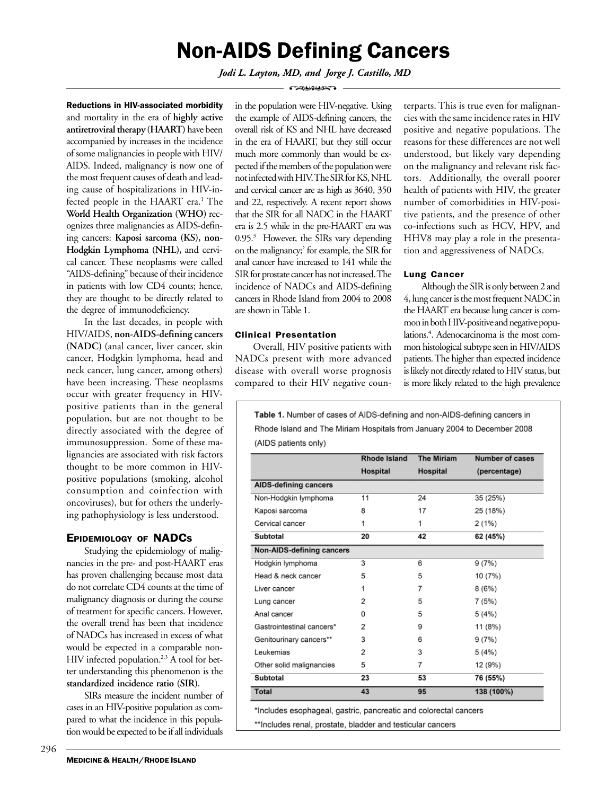# Non-AIDS Defining Cancers

*Jodi L. Layton, MD, and Jorge J. Castillo, MD*  $\sim$ 

Reductions in HIV-associated morbidity and mortality in the era of **highly active antiretroviral therapy (HAART)** have been accompanied by increases in the incidence of some malignancies in people with HIV/ AIDS. Indeed, malignancy is now one of the most frequent causes of death and leading cause of hospitalizations in HIV-infected people in the HAART era.<sup>1</sup> The **World Health Organization (WHO)** recognizes three malignancies as AIDS-defining cancers: **Kaposi sarcoma (KS), non-Hodgkin Lymphoma (NHL),** and cervical cancer. These neoplasms were called "AIDS-defining" because of their incidence in patients with low CD4 counts; hence, they are thought to be directly related to the degree of immunodeficiency.

In the last decades, in people with HIV/AIDS, **non-AIDS-defining cancers (NADC)** (anal cancer, liver cancer, skin cancer, Hodgkin lymphoma, head and neck cancer, lung cancer, among others) have been increasing. These neoplasms occur with greater frequency in HIVpositive patients than in the general population, but are not thought to be directly associated with the degree of immunosuppression. Some of these malignancies are associated with risk factors thought to be more common in HIVpositive populations (smoking, alcohol consumption and coinfection with oncoviruses), but for others the underlying pathophysiology is less understood.

# EPIDEMIOLOGY OF NADCS

Studying the epidemiology of malignancies in the pre- and post-HAART eras has proven challenging because most data do not correlate CD4 counts at the time of malignancy diagnosis or during the course of treatment for specific cancers. However, the overall trend has been that incidence of NADCs has increased in excess of what would be expected in a comparable non-HIV infected population.<sup>2,3</sup> A tool for better understanding this phenomenon is the **standardized incidence ratio (SIR)**.

SIRs measure the incident number of cases in an HIV-positive population as compared to what the incidence in this population would be expected to be if all individuals

in the population were HIV-negative. Using the example of AIDS-defining cancers, the overall risk of KS and NHL have decreased in the era of HAART, but they still occur much more commonly than would be expected if the members of the population were not infected with HIV. The SIR for KS, NHL and cervical cancer are as high as 3640, 350 and 22, respectively. A recent report shows that the SIR for all NADC in the HAART era is 2.5 while in the pre-HAART era was 0.95.<sup>3</sup> However, the SIRs vary depending on the malignancy;' for example, the SIR for anal cancer have increased to 141 while the SIR for prostate cancer has not increased. The incidence of NADCs and AIDS-defining cancers in Rhode Island from 2004 to 2008 are shown in Table 1.

# Clinical Presentation

Overall, HIV positive patients with NADCs present with more advanced disease with overall worse prognosis compared to their HIV negative counterparts. This is true even for malignancies with the same incidence rates in HIV positive and negative populations. The reasons for these differences are not well understood, but likely vary depending on the malignancy and relevant risk factors. Additionally, the overall poorer health of patients with HIV, the greater number of comorbidities in HIV-positive patients, and the presence of other co-infections such as HCV, HPV, and HHV8 may play a role in the presentation and aggressiveness of NADCs.

# Lung Cancer

Although the SIR is only between 2 and 4, lung cancer is the most frequent NADC in the HAART era because lung cancer is common in both HIV-positive and negative populations.4 . Adenocarcinoma is the most common histological subtype seen in HIV/AIDS patients. The higher than expected incidence is likely not directly related to HIV status, but is more likely related to the high prevalence

Table 1. Number of cases of AIDS-defining and non-AIDS-defining cancers in Rhode Island and The Miriam Hospitals from January 2004 to December 2008 (AIDS patients only)

|                                  | <b>Rhode Island</b>  | <b>The Miriam</b> | <b>Number of cases</b> |  |
|----------------------------------|----------------------|-------------------|------------------------|--|
|                                  | Hospital             | Hospital          | (percentage)           |  |
| <b>AIDS-defining cancers</b>     |                      |                   |                        |  |
| Non-Hodgkin lymphoma             | 24<br>35 (25%)<br>11 |                   |                        |  |
| Kaposi sarcoma                   | 8                    | 17                | 25 (18%)               |  |
| Cervical cancer                  | 1                    | 1                 | 2(1%)                  |  |
| Subtotal                         | 20                   | 42                | 62 (45%)               |  |
| <b>Non-AIDS-defining cancers</b> |                      |                   |                        |  |
| Hodgkin lymphoma                 | 3                    | 6                 | 9(7%)                  |  |
| Head & neck cancer               | 5                    | 5                 | 10 (7%)                |  |
| Liver cancer                     | 1                    | 7                 | 8(6%)                  |  |
| Lung cancer                      | 2                    | 5                 | 7(5%)                  |  |
| Anal cancer                      | 0                    | 5                 | 5(4%)                  |  |
| Gastrointestinal cancers*        | 2                    | 9                 | 11 (8%)                |  |
| Genitourinary cancers**          | 3                    | 6                 | 9(7%)                  |  |
| Leukemias                        | 2                    | 3                 | 5(4%)                  |  |
| Other solid malignancies         | 5                    | 7                 | 12 (9%)                |  |
| Subtotal                         | 23                   | 53                | 76 (55%)               |  |
| <b>Total</b>                     | 43                   | 95                | 138 (100%)             |  |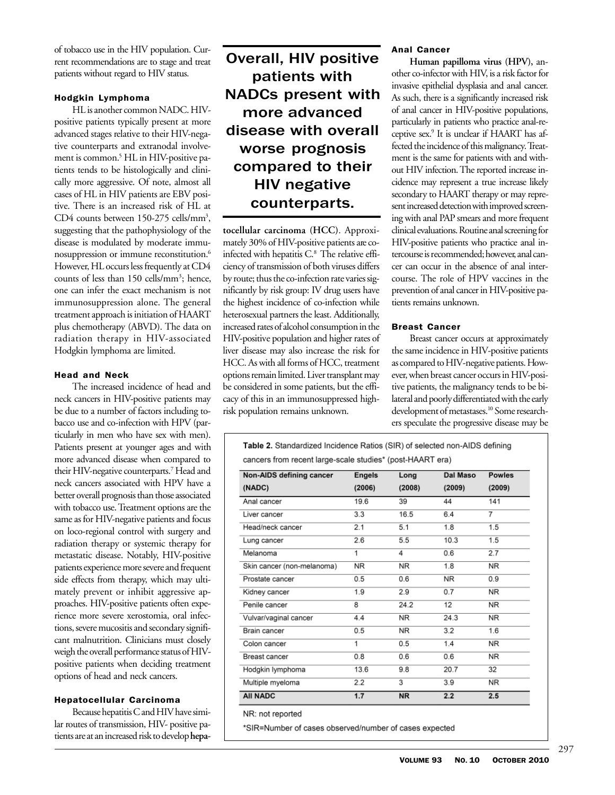of tobacco use in the HIV population. Current recommendations are to stage and treat patients without regard to HIV status.

#### Hodgkin Lymphoma

HL is another common NADC. HIVpositive patients typically present at more advanced stages relative to their HIV-negative counterparts and extranodal involvement is common.5 HL in HIV-positive patients tends to be histologically and clinically more aggressive. Of note, almost all cases of HL in HIV patients are EBV positive. There is an increased risk of HL at CD4 counts between 150-275 cells/mm<sup>3</sup>, suggesting that the pathophysiology of the disease is modulated by moderate immunosuppression or immune reconstitution.6 However, HL occurs less frequently at CD4 counts of less than 150 cells/mm<sup>3</sup>; hence, one can infer the exact mechanism is not immunosuppression alone. The general treatment approach is initiation of HAART plus chemotherapy (ABVD). The data on radiation therapy in HIV-associated Hodgkin lymphoma are limited.

# Head and Neck

The increased incidence of head and neck cancers in HIV-positive patients may be due to a number of factors including tobacco use and co-infection with HPV (particularly in men who have sex with men). Patients present at younger ages and with more advanced disease when compared to their HIV-negative counterparts.7 Head and neck cancers associated with HPV have a better overall prognosis than those associated with tobacco use. Treatment options are the same as for HIV-negative patients and focus on loco-regional control with surgery and radiation therapy or systemic therapy for metastatic disease. Notably, HIV-positive patients experience more severe and frequent side effects from therapy, which may ultimately prevent or inhibit aggressive approaches. HIV-positive patients often experience more severe xerostomia, oral infections, severe mucositis and secondary significant malnutrition. Clinicians must closely weigh the overall performance status of HIVpositive patients when deciding treatment options of head and neck cancers.

### Hepatocellular Carcinoma

Because hepatitis C and HIV have similar routes of transmission, HIV- positive patients are at an increased risk to develop **hepa-**

# Overall, HIV positive patients with NADCs present with more advanced disease with overall worse prognosis compared to their HIV negative counterparts.

**tocellular carcinoma (HCC)**. Approximately 30% of HIV-positive patients are coinfected with hepatitis C.<sup>8</sup> The relative efficiency of transmission of both viruses differs by route; thus the co-infection rate varies significantly by risk group: IV drug users have the highest incidence of co-infection while heterosexual partners the least. Additionally, increased rates of alcohol consumption in the HIV-positive population and higher rates of liver disease may also increase the risk for HCC. As with all forms of HCC, treatment options remain limited. Liver transplant may be considered in some patients, but the efficacy of this in an immunosuppressed highrisk population remains unknown.

#### Anal Cancer

**Human papilloma virus (HPV),** another co-infector with HIV, is a risk factor for invasive epithelial dysplasia and anal cancer. As such, there is a significantly increased risk of anal cancer in HIV-positive populations, particularly in patients who practice anal-receptive sex.9 It is unclear if HAART has affected the incidence of this malignancy. Treatment is the same for patients with and without HIV infection. The reported increase incidence may represent a true increase likely secondary to HAART therapy or may represent increased detection with improved screening with anal PAP smears and more frequent clinical evaluations. Routine anal screening for HIV-positive patients who practice anal intercourse is recommended; however, anal cancer can occur in the absence of anal intercourse. The role of HPV vaccines in the prevention of anal cancer in HIV-positive patients remains unknown.

#### Breast Cancer

Breast cancer occurs at approximately the same incidence in HIV-positive patients as compared to HIV-negative patients. However, when breast cancer occurs in HIV-positive patients, the malignancy tends to be bilateral and poorly differentiated with the early development of metastases.<sup>10</sup> Some researchers speculate the progressive disease may be

Table 2. Standardized Incidence Ratios (SIR) of selected non-AIDS defining cancers from recent large-scale studies\* (post-HAART era)

| Non-AIDS defining cancer   | <b>Engels</b> | Long      | Dal Maso | <b>Powles</b><br>(2009) |
|----------------------------|---------------|-----------|----------|-------------------------|
| (NADC)                     | (2006)        | (2008)    | (2009)   |                         |
| Anal cancer                | 19.6          | 39        | 44       | 141                     |
| Liver cancer               | 3.3           | 16.5      | 6.4      | 7                       |
| Head/neck cancer           | 2.1           | 5.1       | 1.8      | 1.5                     |
| Lung cancer                | 2.6           | 5.5       | 10.3     | 1.5                     |
| Melanoma                   | 1             | 4         | 0.6      | 2.7                     |
| Skin cancer (non-melanoma) | NR            | NR.       | 1.8      | ΝR                      |
| Prostate cancer            | 0.5           | 0.6       | NR.      | 0.9                     |
| Kidney cancer              | 1.9           | 2.9       | 0.7      | NR                      |
| Penile cancer              | 8             | 24.2      | 12       | <b>NR</b>               |
| Vulvar/vaginal cancer      | 4.4           | <b>NR</b> | 24.3     | <b>NR</b>               |
| Brain cancer               | 0.5           | <b>NR</b> | 3.2      | 1.6                     |
| Colon cancer               | 1             | 0.5       | 1.4      | NR                      |
| Breast cancer              | 0.8           | 0.6       | 0.6      | NR                      |
| Hodgkin lymphoma           | 13.6          | 9.8       | 20.7     | 32                      |
| Multiple myeloma           | 2.2           | 3         | 3.9      | <b>NR</b>               |
| <b>AII NADC</b>            | 1.7           | <b>NR</b> | 2.2      | 2.5                     |

NR: not reported

\*SIR=Number of cases observed/number of cases expected